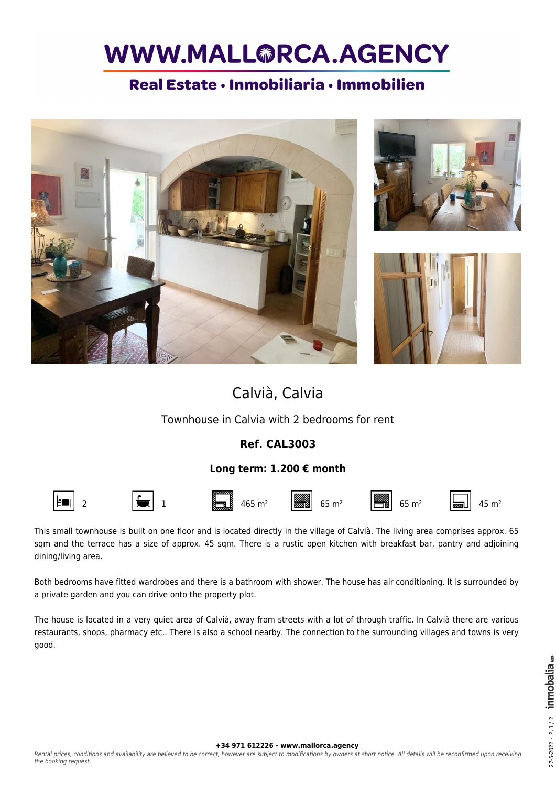# WWW.MALL@RCA.AGENCY

### Real Estate · Inmobiliaria · Immobilien







### Calvià, Calvia

Townhouse in Calvia with 2 bedrooms for rent

#### **Ref. CAL3003**

#### **Long term: 1.200 € month**



This small townhouse is built on one floor and is located directly in the village of Calvià. The living area comprises approx. 65 sqm and the terrace has a size of approx. 45 sqm. There is a rustic open kitchen with breakfast bar, pantry and adjoining dining/living area.

Both bedrooms have fitted wardrobes and there is a bathroom with shower. The house has air conditioning. It is surrounded by a private garden and you can drive onto the property plot.

The house is located in a very quiet area of Calvià, away from streets with a lot of through traffic. In Calvià there are various restaurants, shops, pharmacy etc.. There is also a school nearby. The connection to the surrounding villages and towns is very good.

**+34 971 612226 - www.mallorca.agency**